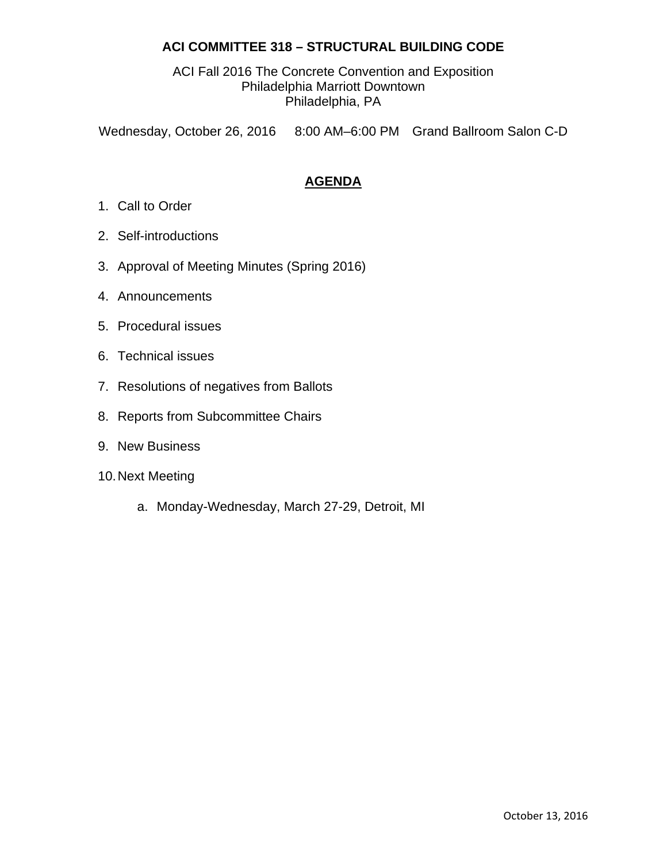# **ACI COMMITTEE 318 – STRUCTURAL BUILDING CODE**

ACI Fall 2016 The Concrete Convention and Exposition Philadelphia Marriott Downtown Philadelphia, PA

Wednesday, October 26, 2016 8:00 AM–6:00 PM Grand Ballroom Salon C-D

# **AGENDA**

- 1. Call to Order
- 2. Self-introductions
- 3. Approval of Meeting Minutes (Spring 2016)
- 4. Announcements
- 5. Procedural issues
- 6. Technical issues
- 7. Resolutions of negatives from Ballots
- 8. Reports from Subcommittee Chairs
- 9. New Business
- 10. Next Meeting
	- a. Monday-Wednesday, March 27-29, Detroit, MI